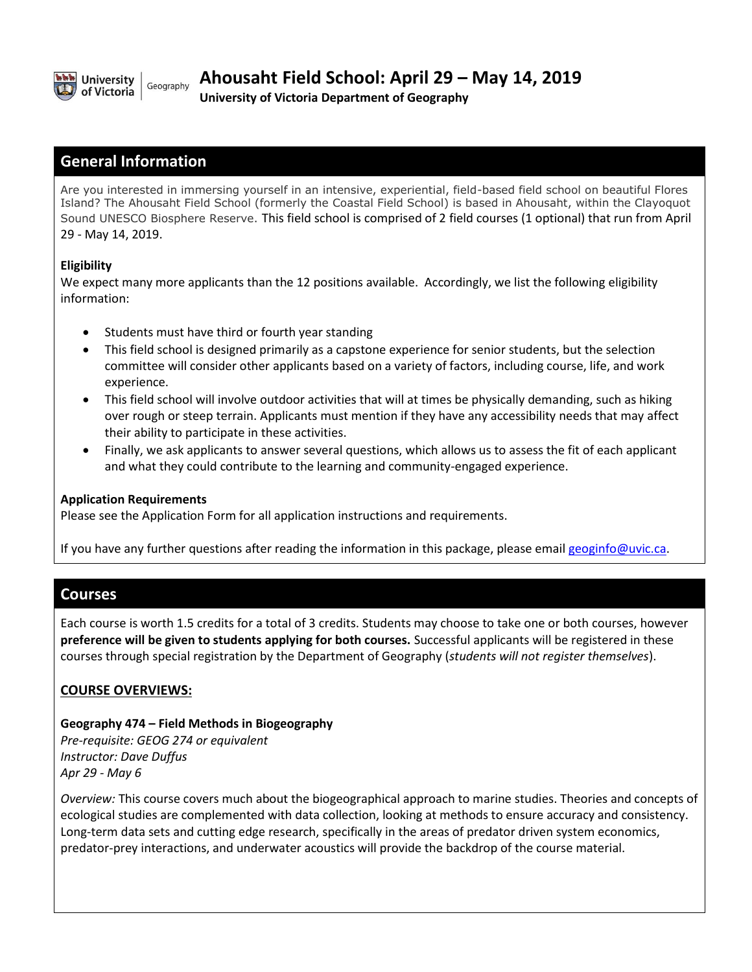

**University of Victoria Department of Geography**

### **General Information**

Are you interested in immersing yourself in an intensive, experiential, field-based field school on beautiful Flores Island? The Ahousaht Field School (formerly the Coastal Field School) is based in Ahousaht, within the Clayoquot Sound UNESCO Biosphere Reserve. This field school is comprised of 2 field courses (1 optional) that run from April 29 - May 14, 2019.

#### **Eligibility**

We expect many more applicants than the 12 positions available. Accordingly, we list the following eligibility information:

- Students must have third or fourth year standing
- This field school is designed primarily as a capstone experience for senior students, but the selection committee will consider other applicants based on a variety of factors, including course, life, and work experience.
- This field school will involve outdoor activities that will at times be physically demanding, such as hiking over rough or steep terrain. Applicants must mention if they have any accessibility needs that may affect their ability to participate in these activities.
- Finally, we ask applicants to answer several questions, which allows us to assess the fit of each applicant and what they could contribute to the learning and community-engaged experience.

#### **Application Requirements**

Please see the Application Form for all application instructions and requirements.

If you have any further questions after reading the information in this package, please email [geoginfo@uvic.ca.](mailto:geoginfo@uvic.ca)

### **Courses**

Each course is worth 1.5 credits for a total of 3 credits. Students may choose to take one or both courses, however **preference will be given to students applying for both courses.** Successful applicants will be registered in these courses through special registration by the Department of Geography (*students will not register themselves*).

#### **COURSE OVERVIEWS:**

# **Geography 474 – Field Methods in Biogeography**

*Pre-requisite: GEOG 274 or equivalent Instructor: Dave Duffus Apr 29 - May 6*

*Overview:* This course covers much about the biogeographical approach to marine studies. Theories and concepts of ecological studies are complemented with data collection, looking at methods to ensure accuracy and consistency. Long-term data sets and cutting edge research, specifically in the areas of predator driven system economics, predator-prey interactions, and underwater acoustics will provide the backdrop of the course material.